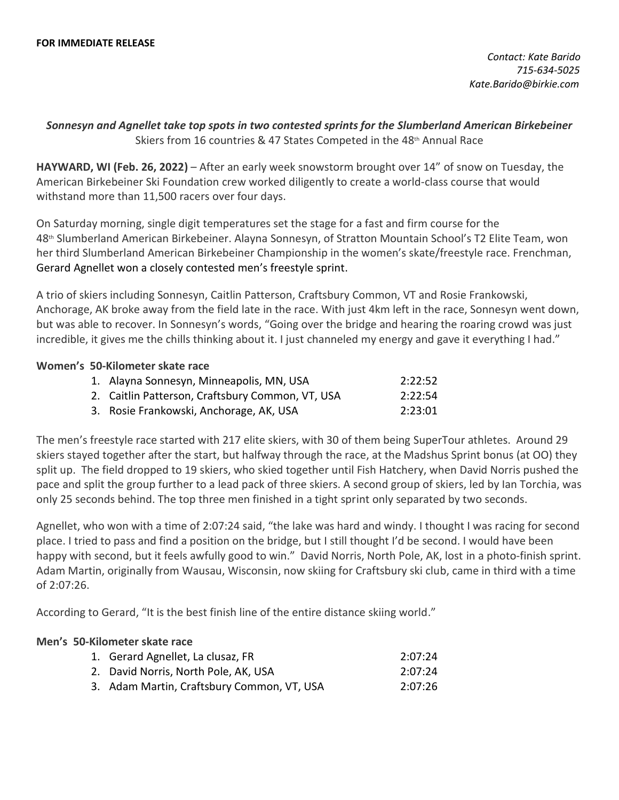*Contact: Kate Barido 715-634-5025 Kate.Barido@birkie.com*

## *Sonnesyn and Agnellet take top spots in two contested sprints for the Slumberland American Birkebeiner* Skiers from 16 countries & 47 States Competed in the 48th Annual Race

**HAYWARD, WI (Feb. 26, 2022)** – After an early week snowstorm brought over 14" of snow on Tuesday, the American Birkebeiner Ski Foundation crew worked diligently to create a world-class course that would withstand more than 11,500 racers over four days. 

On Saturday morning, single digit temperatures set the stage for a fast and firm course for the 48th  Slumberland American Birkebeiner. Alayna Sonnesyn, of Stratton Mountain School's T2 Elite Team, won her third Slumberland American Birkebeiner Championship in the women's skate/freestyle race. Frenchman, Gerard Agnellet won a closely contested men's freestyle sprint.

A trio of skiers including Sonnesyn, Caitlin Patterson, Craftsbury Common, VT and Rosie Frankowski, Anchorage, AK broke away from the field late in the race. With just 4km left in the race, Sonnesyn went down, but was able to recover. In Sonnesyn's words, "Going over the bridge and hearing the roaring crowd was just incredible, it gives me the chills thinking about it. I just channeled my energy and gave it everything I had."

## **Women's 50-Kilometer skate race**

| 1. Alayna Sonnesyn, Minneapolis, MN, USA         | 2:22:52 |
|--------------------------------------------------|---------|
| 2. Caitlin Patterson, Craftsbury Common, VT, USA | 2:22:54 |
| 3. Rosie Frankowski, Anchorage, AK, USA          | 2:23:01 |

The men's freestyle race started with 217 elite skiers, with 30 of them being SuperTour athletes.  Around 29 skiers stayed together after the start, but halfway through the race, at the Madshus Sprint bonus (at OO) they split up.  The field dropped to 19 skiers, who skied together until Fish Hatchery, when David Norris pushed the pace and split the group further to a lead pack of three skiers. A second group of skiers, led by Ian Torchia, was only 25 seconds behind. The top three men finished in a tight sprint only separated by two seconds.

Agnellet, who won with a time of 2:07:24 said, "the lake was hard and windy. I thought I was racing for second place. I tried to pass and find a position on the bridge, but I still thought I'd be second. I would have been happy with second, but it feels awfully good to win."  David Norris, North Pole, AK, lost in a photo-finish sprint. Adam Martin, originally from Wausau, Wisconsin, now skiing for Craftsbury ski club, came in third with a time of 2:07:26.

According to Gerard, "It is the best finish line of the entire distance skiing world."  

## **Men's 50-Kilometer skate race**

| 1. Gerard Agnellet, La clusaz, FR          | 2:07:24 |
|--------------------------------------------|---------|
| 2. David Norris, North Pole, AK, USA       | 2:07:24 |
| 3. Adam Martin, Craftsbury Common, VT, USA | 2:07:26 |